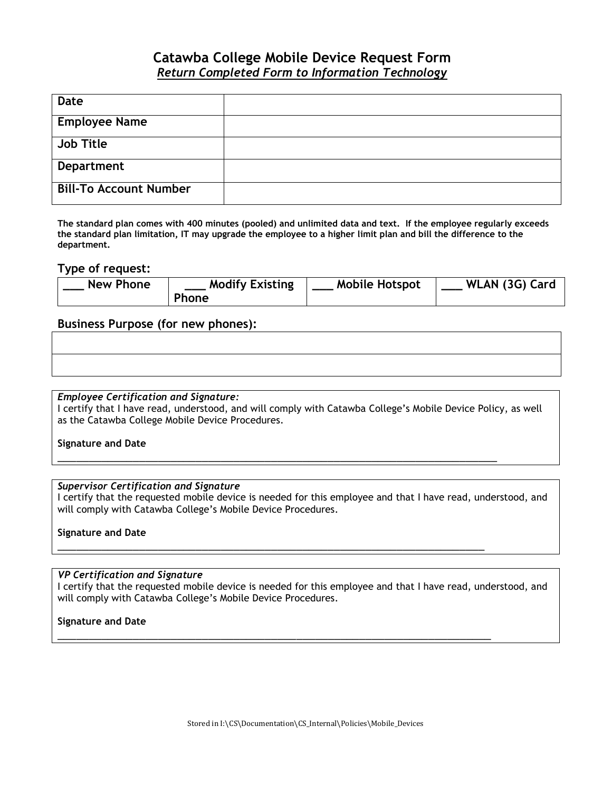## **Catawba College Mobile Device Request Form** *Return Completed Form to Information Technology*

| <b>Date</b>                   |  |
|-------------------------------|--|
|                               |  |
| <b>Employee Name</b>          |  |
|                               |  |
|                               |  |
| <b>Job Title</b>              |  |
|                               |  |
|                               |  |
| <b>Department</b>             |  |
|                               |  |
|                               |  |
| <b>Bill-To Account Number</b> |  |
|                               |  |
|                               |  |

**The standard plan comes with 400 minutes (pooled) and unlimited data and text. If the employee regularly exceeds the standard plan limitation, IT may upgrade the employee to a higher limit plan and bill the difference to the department.**

#### **Type of request:**

| <b>New Phone</b> | <b>Modify Existing</b> | <b>Mobile Hotspot</b> | WLAN (3G) Card |
|------------------|------------------------|-----------------------|----------------|
|                  | <b>Phone</b>           |                       |                |

### **Business Purpose (for new phones):**

#### *Employee Certification and Signature:*

I certify that I have read, understood, and will comply with Catawba College's Mobile Device Policy, as well as the Catawba College Mobile Device Procedures.

\_\_\_\_\_\_\_\_\_\_\_\_\_\_\_\_\_\_\_\_\_\_\_\_\_\_\_\_\_\_\_\_\_\_\_\_\_\_\_\_\_\_\_\_\_\_\_\_\_\_\_\_\_\_\_\_\_\_\_\_\_\_\_\_\_\_\_\_\_\_

\_\_\_\_\_\_\_\_\_\_\_\_\_\_\_\_\_\_\_\_\_\_\_\_\_\_\_\_\_\_\_\_\_\_\_\_\_\_\_\_\_\_\_\_\_\_\_\_\_\_\_\_\_\_\_\_\_\_\_\_\_\_\_\_\_\_\_\_

\_\_\_\_\_\_\_\_\_\_\_\_\_\_\_\_\_\_\_\_\_\_\_\_\_\_\_\_\_\_\_\_\_\_\_\_\_\_\_\_\_\_\_\_\_\_\_\_\_\_\_\_\_\_\_\_\_\_\_\_\_\_\_\_\_\_\_\_\_

#### **Signature and Date**

#### *Supervisor Certification and Signature*

I certify that the requested mobile device is needed for this employee and that I have read, understood, and will comply with Catawba College's Mobile Device Procedures.

#### **Signature and Date**

#### *VP Certification and Signature*

I certify that the requested mobile device is needed for this employee and that I have read, understood, and will comply with Catawba College's Mobile Device Procedures.

#### **Signature and Date**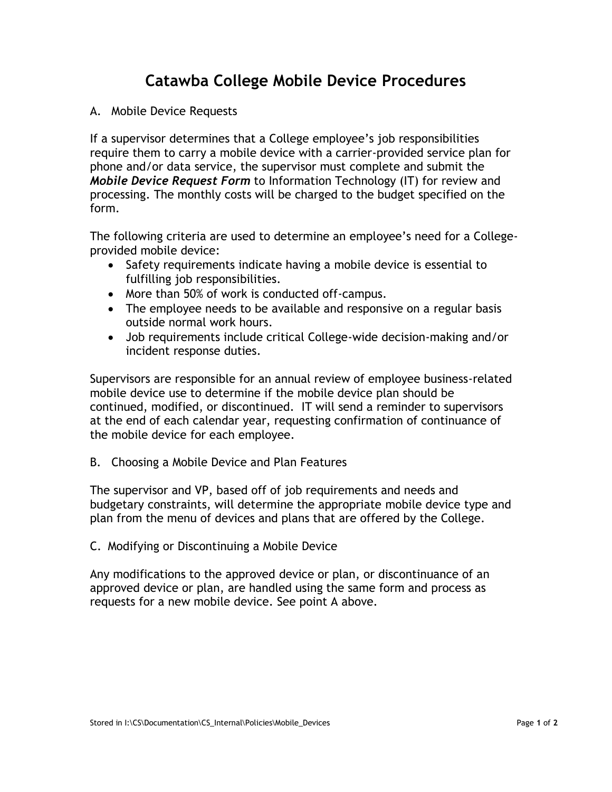# **Catawba College Mobile Device Procedures**

## A. Mobile Device Requests

If a supervisor determines that a College employee's job responsibilities require them to carry a mobile device with a carrier-provided service plan for phone and/or data service, the supervisor must complete and submit the *Mobile Device Request Form* to Information Technology (IT) for review and processing. The monthly costs will be charged to the budget specified on the form.

The following criteria are used to determine an employee's need for a Collegeprovided mobile device:

- Safety requirements indicate having a mobile device is essential to fulfilling job responsibilities.
- More than 50% of work is conducted off-campus.
- The employee needs to be available and responsive on a regular basis outside normal work hours.
- Job requirements include critical College-wide decision-making and/or incident response duties.

Supervisors are responsible for an annual review of employee business-related mobile device use to determine if the mobile device plan should be continued, modified, or discontinued. IT will send a reminder to supervisors at the end of each calendar year, requesting confirmation of continuance of the mobile device for each employee.

B. Choosing a Mobile Device and Plan Features

The supervisor and VP, based off of job requirements and needs and budgetary constraints, will determine the appropriate mobile device type and plan from the menu of devices and plans that are offered by the College.

C. Modifying or Discontinuing a Mobile Device

Any modifications to the approved device or plan, or discontinuance of an approved device or plan, are handled using the same form and process as requests for a new mobile device. See point A above.